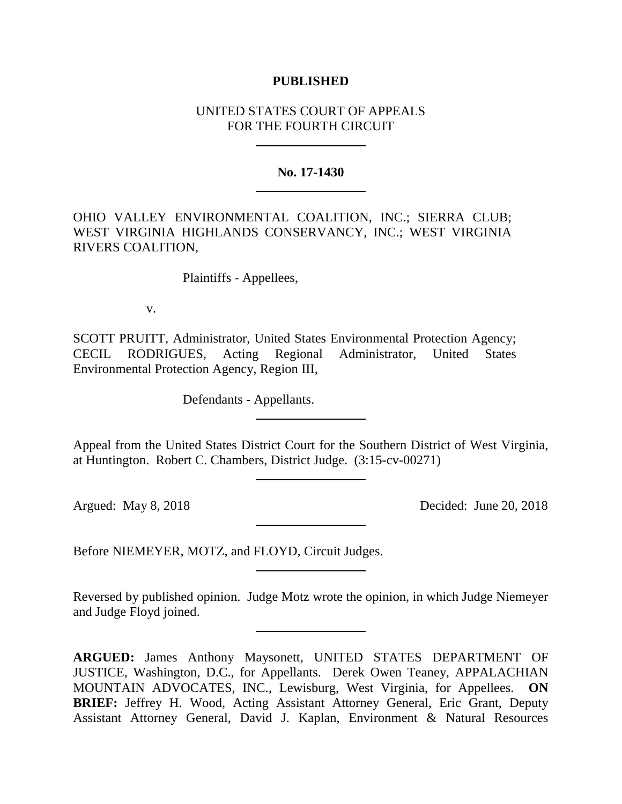### **PUBLISHED**

# UNITED STATES COURT OF APPEALS FOR THE FOURTH CIRCUIT

#### **No. 17-1430**

OHIO VALLEY ENVIRONMENTAL COALITION, INC.; SIERRA CLUB; WEST VIRGINIA HIGHLANDS CONSERVANCY, INC.; WEST VIRGINIA RIVERS COALITION,

Plaintiffs - Appellees,

v.

SCOTT PRUITT, Administrator, United States Environmental Protection Agency; CECIL RODRIGUES, Acting Regional Administrator, United States Environmental Protection Agency, Region III,

Defendants - Appellants.

Appeal from the United States District Court for the Southern District of West Virginia, at Huntington. Robert C. Chambers, District Judge. (3:15-cv-00271)

Argued: May 8, 2018 Decided: June 20, 2018

Before NIEMEYER, MOTZ, and FLOYD, Circuit Judges.

Reversed by published opinion. Judge Motz wrote the opinion, in which Judge Niemeyer and Judge Floyd joined.

**ARGUED:** James Anthony Maysonett, UNITED STATES DEPARTMENT OF JUSTICE, Washington, D.C., for Appellants. Derek Owen Teaney, APPALACHIAN MOUNTAIN ADVOCATES, INC., Lewisburg, West Virginia, for Appellees. **ON BRIEF:** Jeffrey H. Wood, Acting Assistant Attorney General, Eric Grant, Deputy Assistant Attorney General, David J. Kaplan, Environment & Natural Resources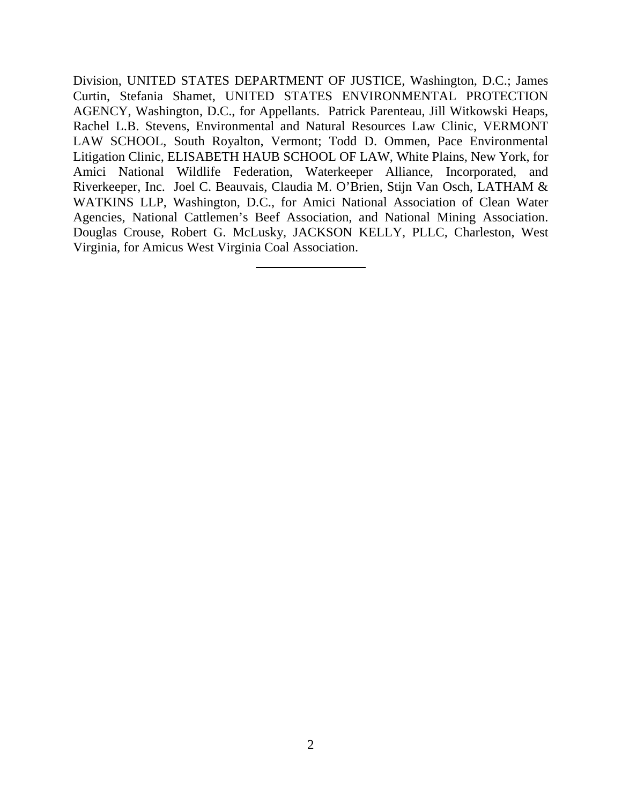Division, UNITED STATES DEPARTMENT OF JUSTICE, Washington, D.C.; James Curtin, Stefania Shamet, UNITED STATES ENVIRONMENTAL PROTECTION AGENCY, Washington, D.C., for Appellants. Patrick Parenteau, Jill Witkowski Heaps, Rachel L.B. Stevens, Environmental and Natural Resources Law Clinic, VERMONT LAW SCHOOL, South Royalton, Vermont; Todd D. Ommen, Pace Environmental Litigation Clinic, ELISABETH HAUB SCHOOL OF LAW, White Plains, New York, for Amici National Wildlife Federation, Waterkeeper Alliance, Incorporated, and Riverkeeper, Inc. Joel C. Beauvais, Claudia M. O'Brien, Stijn Van Osch, LATHAM & WATKINS LLP, Washington, D.C., for Amici National Association of Clean Water Agencies, National Cattlemen's Beef Association, and National Mining Association. Douglas Crouse, Robert G. McLusky, JACKSON KELLY, PLLC, Charleston, West Virginia, for Amicus West Virginia Coal Association.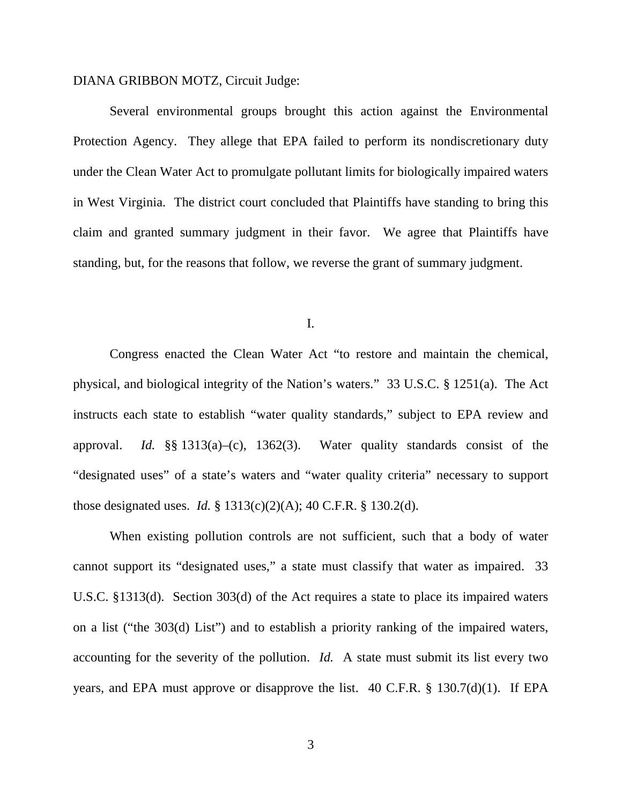## DIANA GRIBBON MOTZ, Circuit Judge:

Several environmental groups brought this action against the Environmental Protection Agency. They allege that EPA failed to perform its nondiscretionary duty under the Clean Water Act to promulgate pollutant limits for biologically impaired waters in West Virginia. The district court concluded that Plaintiffs have standing to bring this claim and granted summary judgment in their favor. We agree that Plaintiffs have standing, but, for the reasons that follow, we reverse the grant of summary judgment.

I.

Congress enacted the Clean Water Act "to restore and maintain the chemical, physical, and biological integrity of the Nation's waters." 33 U.S.C. § 1251(a). The Act instructs each state to establish "water quality standards," subject to EPA review and approval. *Id.* §§ 1313(a)–(c), 1362(3). Water quality standards consist of the "designated uses" of a state's waters and "water quality criteria" necessary to support those designated uses. *Id.* § 1313(c)(2)(A); 40 C.F.R. § 130.2(d).

When existing pollution controls are not sufficient, such that a body of water cannot support its "designated uses," a state must classify that water as impaired. 33 U.S.C. §1313(d). Section 303(d) of the Act requires a state to place its impaired waters on a list ("the 303(d) List") and to establish a priority ranking of the impaired waters, accounting for the severity of the pollution. *Id.* A state must submit its list every two years, and EPA must approve or disapprove the list. 40 C.F.R. § 130.7(d)(1). If EPA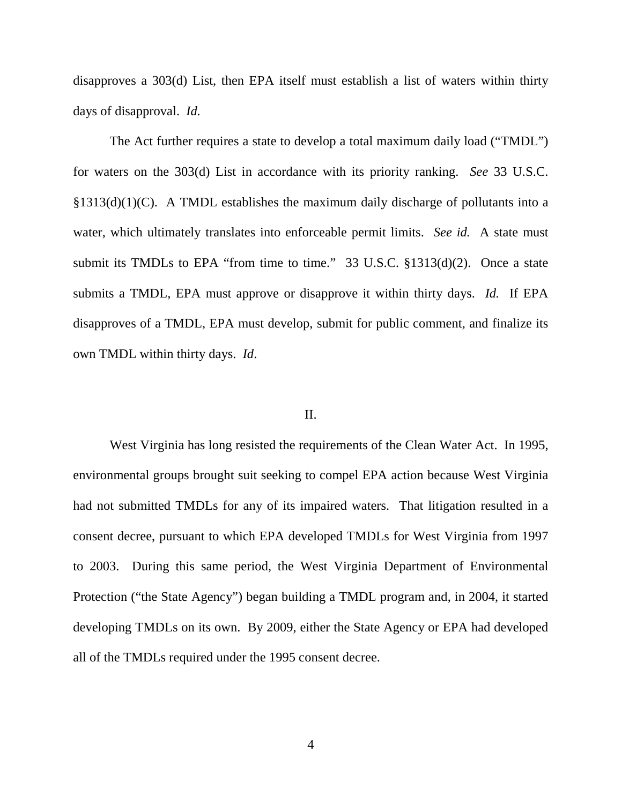disapproves a 303(d) List, then EPA itself must establish a list of waters within thirty days of disapproval. *Id.*

The Act further requires a state to develop a total maximum daily load ("TMDL") for waters on the 303(d) List in accordance with its priority ranking. *See* 33 U.S.C.  $\S1313(d)(1)(C)$ . A TMDL establishes the maximum daily discharge of pollutants into a water, which ultimately translates into enforceable permit limits. *See id.* A state must submit its TMDLs to EPA "from time to time." 33 U.S.C. §1313(d)(2). Once a state submits a TMDL, EPA must approve or disapprove it within thirty days. *Id.* If EPA disapproves of a TMDL, EPA must develop, submit for public comment, and finalize its own TMDL within thirty days. *Id*.

#### II.

West Virginia has long resisted the requirements of the Clean Water Act. In 1995, environmental groups brought suit seeking to compel EPA action because West Virginia had not submitted TMDLs for any of its impaired waters. That litigation resulted in a consent decree, pursuant to which EPA developed TMDLs for West Virginia from 1997 to 2003. During this same period, the West Virginia Department of Environmental Protection ("the State Agency") began building a TMDL program and, in 2004, it started developing TMDLs on its own. By 2009, either the State Agency or EPA had developed all of the TMDLs required under the 1995 consent decree.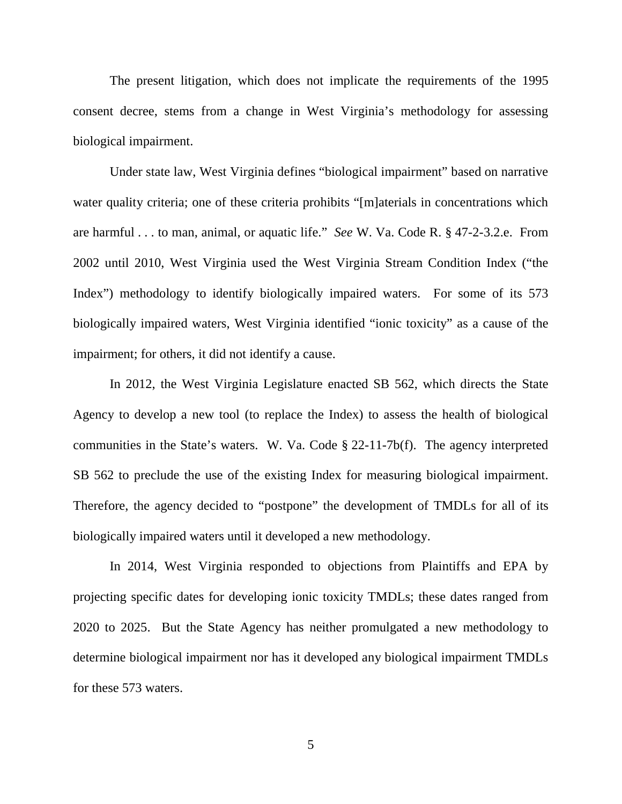The present litigation, which does not implicate the requirements of the 1995 consent decree, stems from a change in West Virginia's methodology for assessing biological impairment.

Under state law, West Virginia defines "biological impairment" based on narrative water quality criteria; one of these criteria prohibits "[m]aterials in concentrations which are harmful . . . to man, animal, or aquatic life." *See* W. Va. Code R. § 47-2-3.2.e. From 2002 until 2010, West Virginia used the West Virginia Stream Condition Index ("the Index") methodology to identify biologically impaired waters. For some of its 573 biologically impaired waters, West Virginia identified "ionic toxicity" as a cause of the impairment; for others, it did not identify a cause.

In 2012, the West Virginia Legislature enacted SB 562, which directs the State Agency to develop a new tool (to replace the Index) to assess the health of biological communities in the State's waters. W. Va. Code § 22-11-7b(f). The agency interpreted SB 562 to preclude the use of the existing Index for measuring biological impairment. Therefore, the agency decided to "postpone" the development of TMDLs for all of its biologically impaired waters until it developed a new methodology.

In 2014, West Virginia responded to objections from Plaintiffs and EPA by projecting specific dates for developing ionic toxicity TMDLs; these dates ranged from 2020 to 2025. But the State Agency has neither promulgated a new methodology to determine biological impairment nor has it developed any biological impairment TMDLs for these 573 waters.

5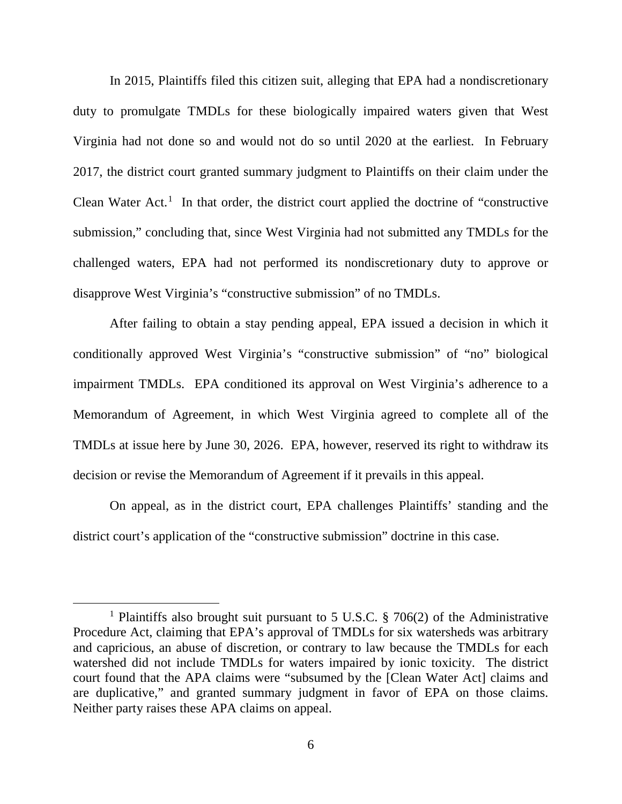In 2015, Plaintiffs filed this citizen suit, alleging that EPA had a nondiscretionary duty to promulgate TMDLs for these biologically impaired waters given that West Virginia had not done so and would not do so until 2020 at the earliest. In February 2017, the district court granted summary judgment to Plaintiffs on their claim under the Clean Water Act. [1](#page-5-0) In that order, the district court applied the doctrine of "constructive submission," concluding that, since West Virginia had not submitted any TMDLs for the challenged waters, EPA had not performed its nondiscretionary duty to approve or disapprove West Virginia's "constructive submission" of no TMDLs.

After failing to obtain a stay pending appeal, EPA issued a decision in which it conditionally approved West Virginia's "constructive submission" of "no" biological impairment TMDLs. EPA conditioned its approval on West Virginia's adherence to a Memorandum of Agreement, in which West Virginia agreed to complete all of the TMDLs at issue here by June 30, 2026. EPA, however, reserved its right to withdraw its decision or revise the Memorandum of Agreement if it prevails in this appeal.

On appeal, as in the district court, EPA challenges Plaintiffs' standing and the district court's application of the "constructive submission" doctrine in this case.

<span id="page-5-0"></span> <sup>1</sup> Plaintiffs also brought suit pursuant to 5 U.S.C. § 706(2) of the Administrative Procedure Act, claiming that EPA's approval of TMDLs for six watersheds was arbitrary and capricious, an abuse of discretion, or contrary to law because the TMDLs for each watershed did not include TMDLs for waters impaired by ionic toxicity. The district court found that the APA claims were "subsumed by the [Clean Water Act] claims and are duplicative," and granted summary judgment in favor of EPA on those claims. Neither party raises these APA claims on appeal.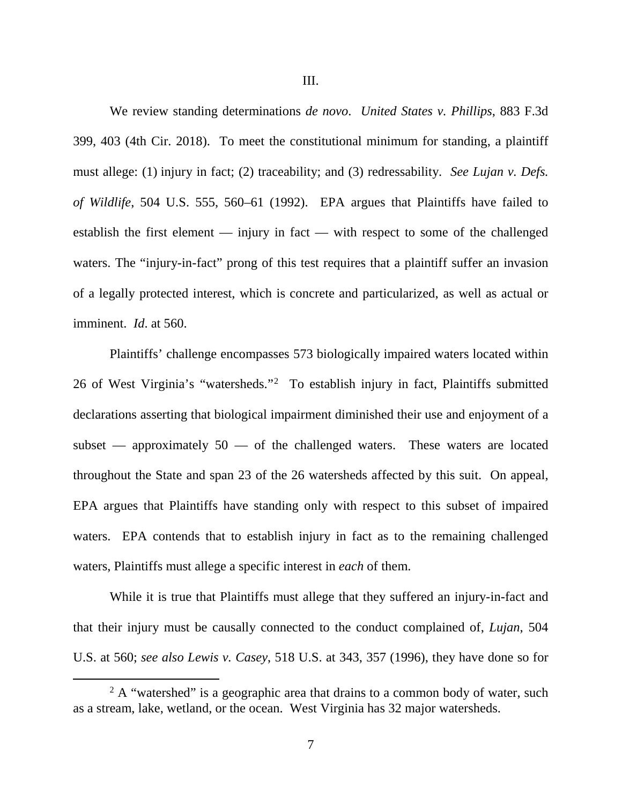We review standing determinations *de novo*. *United States v. Phillips*, 883 F.3d 399, 403 (4th Cir. 2018). To meet the constitutional minimum for standing, a plaintiff must allege: (1) injury in fact; (2) traceability; and (3) redressability. *See Lujan v. Defs. of Wildlife*, 504 U.S. 555, 560–61 (1992). EPA argues that Plaintiffs have failed to establish the first element — injury in fact — with respect to some of the challenged waters. The "injury-in-fact" prong of this test requires that a plaintiff suffer an invasion of a legally protected interest, which is concrete and particularized, as well as actual or imminent. *Id*. at 560.

Plaintiffs' challenge encompasses 573 biologically impaired waters located within [2](#page-6-0)6 of West Virginia's "watersheds."<sup>2</sup> To establish injury in fact, Plaintiffs submitted declarations asserting that biological impairment diminished their use and enjoyment of a subset — approximately 50 — of the challenged waters. These waters are located throughout the State and span 23 of the 26 watersheds affected by this suit. On appeal, EPA argues that Plaintiffs have standing only with respect to this subset of impaired waters. EPA contends that to establish injury in fact as to the remaining challenged waters, Plaintiffs must allege a specific interest in *each* of them.

While it is true that Plaintiffs must allege that they suffered an injury-in-fact and that their injury must be causally connected to the conduct complained of, *Lujan*, 504 U.S. at 560; *see also Lewis v. Casey*, 518 U.S. at 343, 357 (1996), they have done so for

<span id="page-6-0"></span> $2 A$  "watershed" is a geographic area that drains to a common body of water, such as a stream, lake, wetland, or the ocean. West Virginia has 32 major watersheds.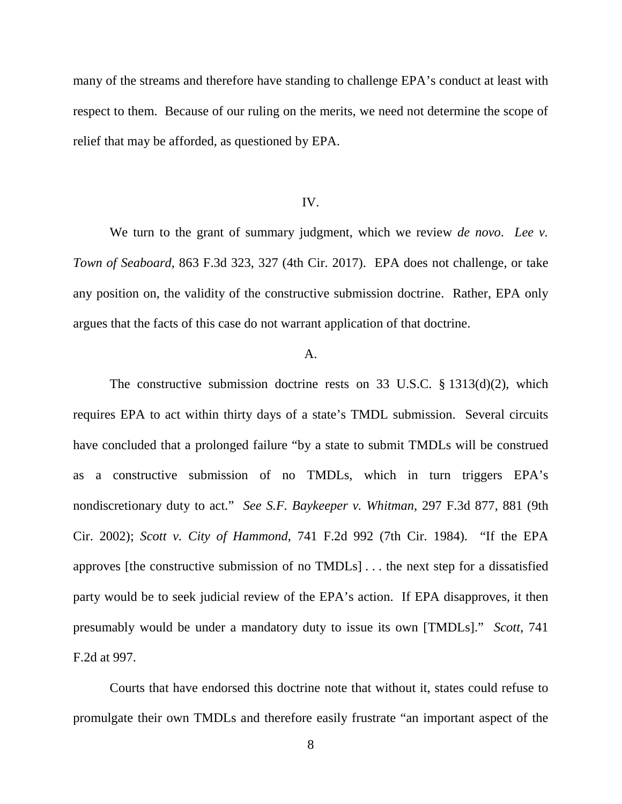many of the streams and therefore have standing to challenge EPA's conduct at least with respect to them. Because of our ruling on the merits, we need not determine the scope of relief that may be afforded, as questioned by EPA.

#### IV.

We turn to the grant of summary judgment, which we review *de novo*. *Lee v. Town of Seaboard*, 863 F.3d 323, 327 (4th Cir. 2017). EPA does not challenge, or take any position on, the validity of the constructive submission doctrine. Rather, EPA only argues that the facts of this case do not warrant application of that doctrine.

#### $A<sub>1</sub>$

The constructive submission doctrine rests on 33 U.S.C. § 1313(d)(2), which requires EPA to act within thirty days of a state's TMDL submission. Several circuits have concluded that a prolonged failure "by a state to submit TMDLs will be construed as a constructive submission of no TMDLs, which in turn triggers EPA's nondiscretionary duty to act." *See S.F. Baykeeper v. Whitman*, 297 F.3d 877, 881 (9th Cir. 2002); *Scott v. City of Hammond*, 741 F.2d 992 (7th Cir. 1984). "If the EPA approves [the constructive submission of no TMDLs] . . . the next step for a dissatisfied party would be to seek judicial review of the EPA's action. If EPA disapproves, it then presumably would be under a mandatory duty to issue its own [TMDLs]." *Scott*, 741 F.2d at 997.

Courts that have endorsed this doctrine note that without it, states could refuse to promulgate their own TMDLs and therefore easily frustrate "an important aspect of the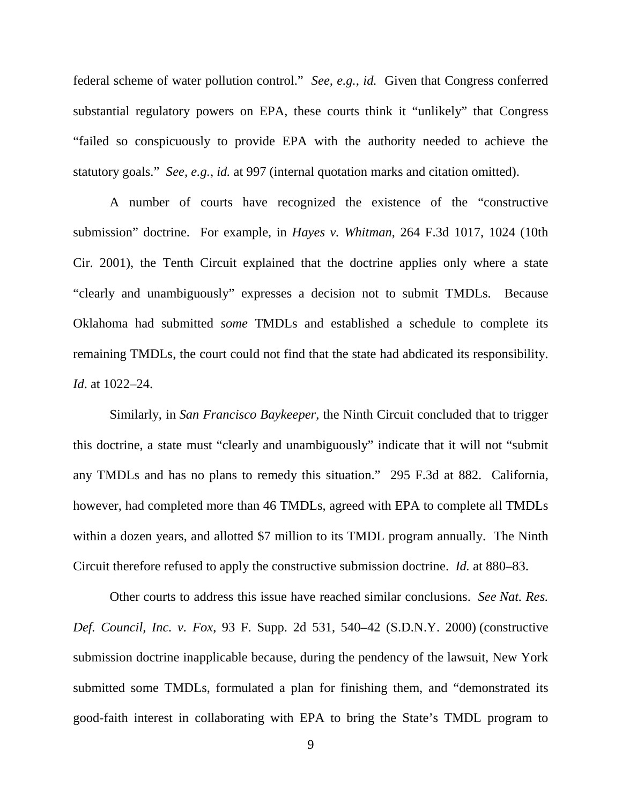federal scheme of water pollution control." *See, e.g.*, *id.* Given that Congress conferred substantial regulatory powers on EPA, these courts think it "unlikely" that Congress "failed so conspicuously to provide EPA with the authority needed to achieve the statutory goals." *See, e.g.*, *id.* at 997 (internal quotation marks and citation omitted).

A number of courts have recognized the existence of the "constructive submission" doctrine. For example, in *Hayes v. Whitman*, 264 F.3d 1017, 1024 (10th Cir. 2001), the Tenth Circuit explained that the doctrine applies only where a state "clearly and unambiguously" expresses a decision not to submit TMDLs. Because Oklahoma had submitted *some* TMDLs and established a schedule to complete its remaining TMDLs, the court could not find that the state had abdicated its responsibility. *Id*. at 1022–24.

Similarly, in *San Francisco Baykeeper*, the Ninth Circuit concluded that to trigger this doctrine, a state must "clearly and unambiguously" indicate that it will not "submit any TMDLs and has no plans to remedy this situation." 295 F.3d at 882. California, however, had completed more than 46 TMDLs, agreed with EPA to complete all TMDLs within a dozen years, and allotted \$7 million to its TMDL program annually. The Ninth Circuit therefore refused to apply the constructive submission doctrine. *Id.* at 880–83.

Other courts to address this issue have reached similar conclusions. *See Nat. Res. Def. Council, Inc. v. Fox*, 93 F. Supp. 2d 531, 540–42 (S.D.N.Y. 2000) (constructive submission doctrine inapplicable because, during the pendency of the lawsuit, New York submitted some TMDLs, formulated a plan for finishing them, and "demonstrated its good-faith interest in collaborating with EPA to bring the State's TMDL program to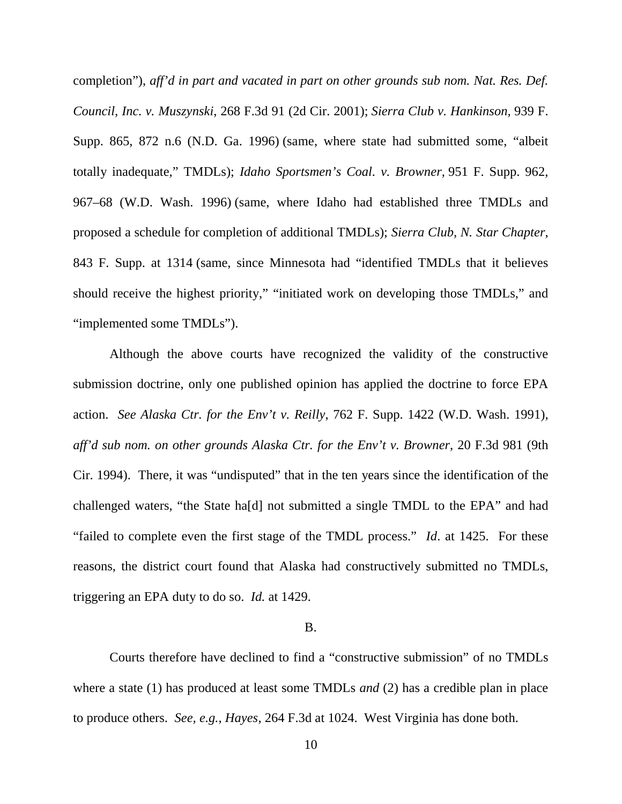completion"), *aff'd in part and vacated in part on other grounds sub nom. Nat. Res. Def. Council, Inc. v. Muszynski*, 268 F.3d 91 (2d Cir. 2001); *Sierra Club v. Hankinson,* 939 F. Supp. 865, 872 n.6 (N.D. Ga. 1996) (same, where state had submitted some, "albeit totally inadequate," TMDLs); *Idaho Sportsmen's Coal. v. Browner,* 951 F. Supp. 962, 967–68 (W.D. Wash. 1996) (same, where Idaho had established three TMDLs and proposed a schedule for completion of additional TMDLs); *Sierra Club, N. Star Chapter*, 843 F. Supp. at 1314 (same, since Minnesota had "identified TMDLs that it believes should receive the highest priority," "initiated work on developing those TMDLs," and "implemented some TMDLs").

Although the above courts have recognized the validity of the constructive submission doctrine, only one published opinion has applied the doctrine to force EPA action. *See Alaska Ctr. for the Env't v. Reilly*, 762 F. Supp. 1422 (W.D. Wash. 1991), *aff'd sub nom. on other grounds Alaska Ctr. for the Env't v. Browner*, 20 F.3d 981 (9th Cir. 1994). There, it was "undisputed" that in the ten years since the identification of the challenged waters, "the State ha[d] not submitted a single TMDL to the EPA" and had "failed to complete even the first stage of the TMDL process." *Id*. at 1425. For these reasons, the district court found that Alaska had constructively submitted no TMDLs, triggering an EPA duty to do so. *Id.* at 1429.

#### B.

Courts therefore have declined to find a "constructive submission" of no TMDLs where a state (1) has produced at least some TMDLs *and* (2) has a credible plan in place to produce others. *See, e.g.*, *Hayes*, 264 F.3d at 1024. West Virginia has done both.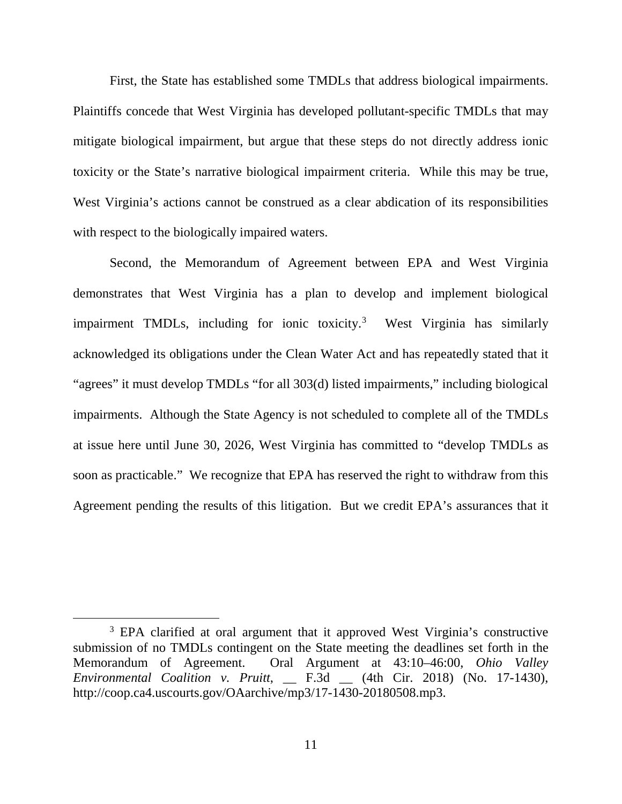First, the State has established some TMDLs that address biological impairments. Plaintiffs concede that West Virginia has developed pollutant-specific TMDLs that may mitigate biological impairment, but argue that these steps do not directly address ionic toxicity or the State's narrative biological impairment criteria. While this may be true, West Virginia's actions cannot be construed as a clear abdication of its responsibilities with respect to the biologically impaired waters.

Second, the Memorandum of Agreement between EPA and West Virginia demonstrates that West Virginia has a plan to develop and implement biological impairment TMDLs, including for ionic toxicity.<sup>[3](#page-10-0)</sup> West Virginia has similarly acknowledged its obligations under the Clean Water Act and has repeatedly stated that it "agrees" it must develop TMDLs "for all 303(d) listed impairments," including biological impairments. Although the State Agency is not scheduled to complete all of the TMDLs at issue here until June 30, 2026, West Virginia has committed to "develop TMDLs as soon as practicable." We recognize that EPA has reserved the right to withdraw from this Agreement pending the results of this litigation. But we credit EPA's assurances that it

<span id="page-10-0"></span><sup>&</sup>lt;sup>3</sup> EPA clarified at oral argument that it approved West Virginia's constructive submission of no TMDLs contingent on the State meeting the deadlines set forth in the Memorandum of Agreement. Oral Argument at 43:10–46:00, *Ohio Valley Environmental Coalition v. Pruitt*, \_\_ F.3d \_\_ (4th Cir. 2018) (No. 17-1430), http://coop.ca4.uscourts.gov/OAarchive/mp3/17-1430-20180508.mp3.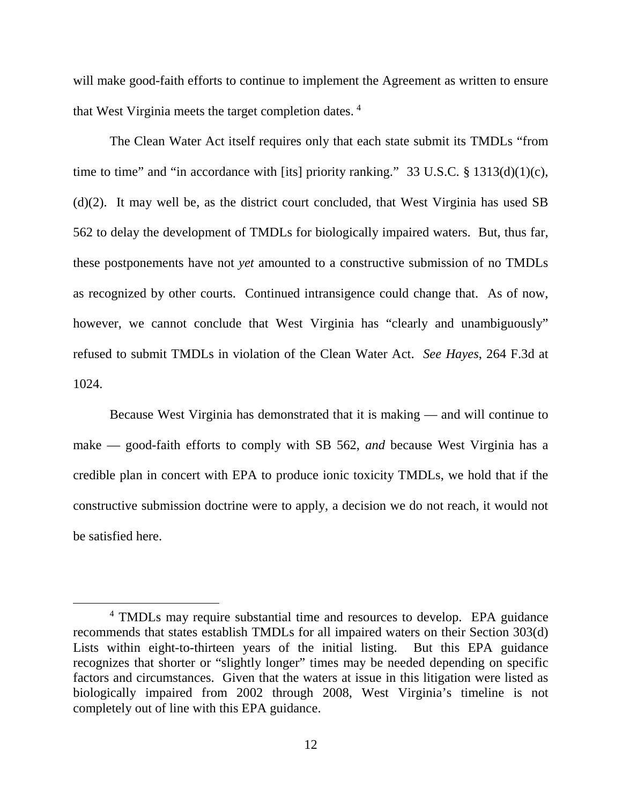will make good-faith efforts to continue to implement the Agreement as written to ensure that West Virginia meets the target completion dates. [4](#page-11-0)

The Clean Water Act itself requires only that each state submit its TMDLs "from time to time" and "in accordance with [its] priority ranking." 33 U.S.C.  $\S$  1313(d)(1)(c), (d)(2). It may well be, as the district court concluded, that West Virginia has used SB 562 to delay the development of TMDLs for biologically impaired waters. But, thus far, these postponements have not *yet* amounted to a constructive submission of no TMDLs as recognized by other courts. Continued intransigence could change that. As of now, however, we cannot conclude that West Virginia has "clearly and unambiguously" refused to submit TMDLs in violation of the Clean Water Act. *See Hayes*, 264 F.3d at 1024.

Because West Virginia has demonstrated that it is making — and will continue to make — good-faith efforts to comply with SB 562, *and* because West Virginia has a credible plan in concert with EPA to produce ionic toxicity TMDLs, we hold that if the constructive submission doctrine were to apply, a decision we do not reach, it would not be satisfied here.

<span id="page-11-0"></span> <sup>4</sup> TMDLs may require substantial time and resources to develop. EPA guidance recommends that states establish TMDLs for all impaired waters on their Section 303(d) Lists within eight-to-thirteen years of the initial listing. But this EPA guidance recognizes that shorter or "slightly longer" times may be needed depending on specific factors and circumstances. Given that the waters at issue in this litigation were listed as biologically impaired from 2002 through 2008, West Virginia's timeline is not completely out of line with this EPA guidance.